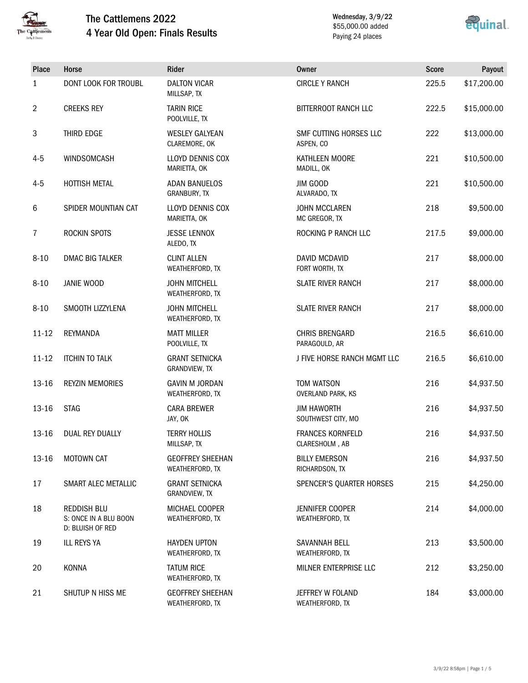

# The Cattlemens 2022 4 Year Old Open: Finals Results

Wednesday, 3/9/22 \$55,000.00 added Paying 24 places



| Place          | Horse                                                           | Rider                                      | <b>Owner</b>                                  | <b>Score</b> | Payout      |
|----------------|-----------------------------------------------------------------|--------------------------------------------|-----------------------------------------------|--------------|-------------|
| $\mathbf{1}$   | <b>DONT LOOK FOR TROUBL</b>                                     | <b>DALTON VICAR</b><br>MILLSAP, TX         | <b>CIRCLE Y RANCH</b>                         | 225.5        | \$17,200.00 |
| $\overline{2}$ | <b>CREEKS REY</b>                                               | <b>TARIN RICE</b><br>POOLVILLE, TX         | <b>BITTERROOT RANCH LLC</b>                   | 222.5        | \$15,000.00 |
| $\mathbf{3}$   | THIRD EDGE                                                      | <b>WESLEY GALYEAN</b><br>CLAREMORE, OK     | SMF CUTTING HORSES LLC<br>ASPEN, CO           | 222          | \$13,000.00 |
| $4 - 5$        | <b>WINDSOMCASH</b>                                              | <b>LLOYD DENNIS COX</b><br>MARIETTA, OK    | KATHLEEN MOORE<br>MADILL, OK                  | 221          | \$10,500.00 |
| $4 - 5$        | HOTTISH METAL                                                   | <b>ADAN BANUELOS</b><br>GRANBURY, TX       | JIM GOOD<br>ALVARADO, TX                      | 221          | \$10,500.00 |
| $6\phantom{1}$ | SPIDER MOUNTIAN CAT                                             | <b>LLOYD DENNIS COX</b><br>MARIETTA, OK    | <b>JOHN MCCLAREN</b><br>MC GREGOR, TX         | 218          | \$9,500.00  |
| $\overline{7}$ | <b>ROCKIN SPOTS</b>                                             | <b>JESSE LENNOX</b><br>ALEDO, TX           | ROCKING P RANCH LLC                           | 217.5        | \$9,000.00  |
| $8 - 10$       | <b>DMAC BIG TALKER</b>                                          | <b>CLINT ALLEN</b><br>WEATHERFORD, TX      | <b>DAVID MCDAVID</b><br>FORT WORTH, TX        | 217          | \$8,000.00  |
| $8 - 10$       | <b>JANIE WOOD</b>                                               | <b>JOHN MITCHELL</b><br>WEATHERFORD, TX    | <b>SLATE RIVER RANCH</b>                      | 217          | \$8,000.00  |
| $8 - 10$       | SMOOTH LIZZYLENA                                                | <b>JOHN MITCHELL</b><br>WEATHERFORD, TX    | <b>SLATE RIVER RANCH</b>                      | 217          | \$8,000.00  |
| $11 - 12$      | REYMANDA                                                        | <b>MATT MILLER</b><br>POOLVILLE, TX        | <b>CHRIS BRENGARD</b><br>PARAGOULD, AR        | 216.5        | \$6,610.00  |
| $11 - 12$      | <b>ITCHIN TO TALK</b>                                           | <b>GRANT SETNICKA</b><br>GRANDVIEW, TX     | J FIVE HORSE RANCH MGMT LLC                   | 216.5        | \$6,610.00  |
| 13-16          | <b>REYZIN MEMORIES</b>                                          | <b>GAVIN M JORDAN</b><br>WEATHERFORD, TX   | <b>TOM WATSON</b><br><b>OVERLAND PARK, KS</b> | 216          | \$4,937.50  |
| 13-16          | <b>STAG</b>                                                     | <b>CARA BREWER</b><br>JAY, OK              | <b>JIM HAWORTH</b><br>SOUTHWEST CITY, MO      | 216          | \$4,937.50  |
| $13 - 16$      | <b>DUAL REY DUALLY</b>                                          | <b>TERRY HOLLIS</b><br>MILLSAP, TX         | <b>FRANCES KORNFELD</b><br>CLARESHOLM, AB     | 216          | \$4,937.50  |
| 13-16          | MOTOWN CAT                                                      | <b>GEOFFREY SHEEHAN</b><br>WEATHERFORD, TX | <b>BILLY EMERSON</b><br>RICHARDSON, TX        | 216          | \$4,937.50  |
| 17             | SMART ALEC METALLIC                                             | <b>GRANT SETNICKA</b><br>GRANDVIEW, TX     | SPENCER'S QUARTER HORSES                      | 215          | \$4,250.00  |
| 18             | <b>REDDISH BLU</b><br>S: ONCE IN A BLU BOON<br>D: BLUISH OF RED | MICHAEL COOPER<br>WEATHERFORD, TX          | JENNIFER COOPER<br>WEATHERFORD, TX            | 214          | \$4,000.00  |
| 19             | ILL REYS YA                                                     | <b>HAYDEN UPTON</b><br>WEATHERFORD, TX     | SAVANNAH BELL<br>WEATHERFORD, TX              | 213          | \$3,500.00  |
| 20             | <b>KONNA</b>                                                    | <b>TATUM RICE</b><br>WEATHERFORD, TX       | MILNER ENTERPRISE LLC                         | 212          | \$3,250.00  |
| 21             | SHUTUP N HISS ME                                                | <b>GEOFFREY SHEEHAN</b><br>WEATHERFORD, TX | JEFFREY W FOLAND<br>WEATHERFORD, TX           | 184          | \$3,000.00  |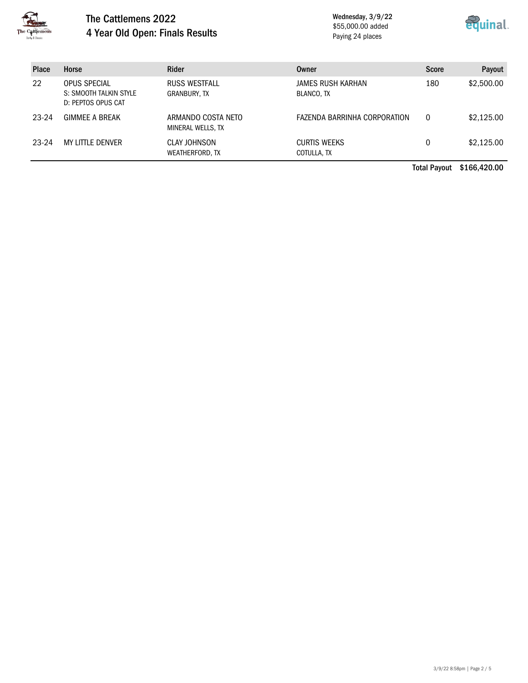

#### The Cattlemens 2022 4 Year Old Open: Finals Results

Wednesday, 3/9/22 \$55,000.00 added Paying 24 places



| <b>Place</b> | Horse                                                        | <b>Rider</b>                            | Owner                              | <b>Score</b> | Payout     |
|--------------|--------------------------------------------------------------|-----------------------------------------|------------------------------------|--------------|------------|
| 22           | OPUS SPECIAL<br>S: SMOOTH TALKIN STYLE<br>D: PEPTOS OPUS CAT | RUSS WESTFALL<br>GRANBURY, TX           | JAMES RUSH KARHAN<br>BLANCO, TX    | 180          | \$2,500.00 |
| 23-24        | <b>GIMMEE A BREAK</b>                                        | ARMANDO COSTA NETO<br>MINERAL WELLS, TX | FAZENDA BARRINHA CORPORATION       | 0            | \$2,125.00 |
| 23-24        | MY LITTLE DENVER                                             | CLAY JOHNSON<br>WEATHERFORD, TX         | <b>CURTIS WEEKS</b><br>COTULLA, TX | 0            | \$2,125.00 |

Total Payout \$166,420.00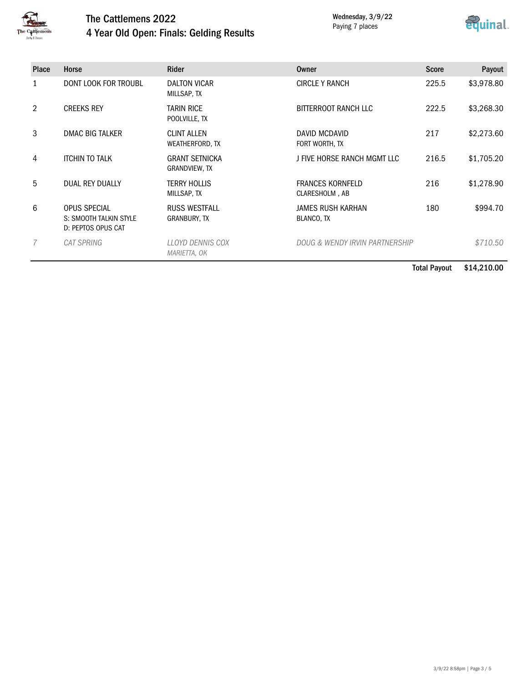

## The Cattlemens 2022 4 Year Old Open: Finals: Gelding Results

Wednesday, 3/9/22 Paying 7 places



| <b>Place</b>   | Horse                                                               | <b>Rider</b>                                | Owner                                     | <b>Score</b> | Payout     |
|----------------|---------------------------------------------------------------------|---------------------------------------------|-------------------------------------------|--------------|------------|
| 1              | <b>DONT LOOK FOR TROUBL</b>                                         | <b>DALTON VICAR</b><br>MILLSAP, TX          | <b>CIRCLE Y RANCH</b>                     | 225.5        | \$3,978.80 |
| $\overline{2}$ | <b>CREEKS REY</b>                                                   | <b>TARIN RICE</b><br>POOLVILLE, TX          | BITTERROOT RANCH LLC                      | 222.5        | \$3,268.30 |
| 3              | <b>DMAC BIG TALKER</b>                                              | <b>CLINT ALLEN</b><br>WEATHERFORD, TX       | DAVID MCDAVID<br>FORT WORTH, TX           | 217          | \$2,273.60 |
| 4              | <b>ITCHIN TO TALK</b>                                               | <b>GRANT SETNICKA</b><br>GRANDVIEW, TX      | J FIVE HORSE RANCH MGMT LLC               | 216.5        | \$1,705.20 |
| 5              | DUAL REY DUALLY                                                     | <b>TERRY HOLLIS</b><br>MILLSAP, TX          | <b>FRANCES KORNFELD</b><br>CLARESHOLM, AB | 216          | \$1,278.90 |
| 6              | <b>OPUS SPECIAL</b><br>S: SMOOTH TALKIN STYLE<br>D: PEPTOS OPUS CAT | <b>RUSS WESTFALL</b><br><b>GRANBURY, TX</b> | <b>JAMES RUSH KARHAN</b><br>BLANCO, TX    | 180          | \$994.70   |
|                | CAT SPRING                                                          | LLOYD DENNIS COX<br>MARIETTA, OK            | DOUG & WENDY IRVIN PARTNERSHIP            |              | \$710.50   |

Total Payout \$14,210.00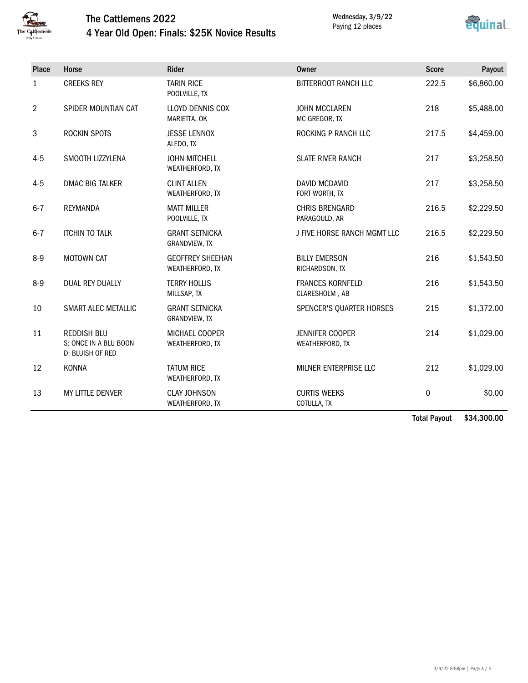

## The Cattlemens 2022 4 Year Old Open: Finals: \$25K Novice Results

Wednesday, 3/9/22 Paying 12 places



| Place        | Horse                                                           | <b>Rider</b>                               | Owner                                     | <b>Score</b> | Payout     |
|--------------|-----------------------------------------------------------------|--------------------------------------------|-------------------------------------------|--------------|------------|
| $\mathbf{1}$ | <b>CREEKS REY</b>                                               | <b>TARIN RICE</b><br>POOLVILLE, TX         | BITTERROOT RANCH LLC                      | 222.5        | \$6,860.00 |
| 2            | SPIDER MOUNTIAN CAT                                             | LLOYD DENNIS COX<br>MARIETTA, OK           | <b>JOHN MCCLAREN</b><br>MC GREGOR, TX     | 218          | \$5,488.00 |
| 3            | ROCKIN SPOTS                                                    | <b>JESSE LENNOX</b><br>ALEDO, TX           | ROCKING P RANCH LLC                       | 217.5        | \$4,459.00 |
| $4 - 5$      | SMOOTH LIZZYLENA                                                | <b>JOHN MITCHELL</b><br>WEATHERFORD, TX    | <b>SLATE RIVER RANCH</b>                  | 217          | \$3,258.50 |
| $4 - 5$      | <b>DMAC BIG TALKER</b>                                          | <b>CLINT ALLEN</b><br>WEATHERFORD, TX      | <b>DAVID MCDAVID</b><br>FORT WORTH, TX    | 217          | \$3,258.50 |
| $6 - 7$      | <b>REYMANDA</b>                                                 | <b>MATT MILLER</b><br>POOLVILLE, TX        | <b>CHRIS BRENGARD</b><br>PARAGOULD, AR    | 216.5        | \$2,229.50 |
| $6 - 7$      | <b>ITCHIN TO TALK</b>                                           | <b>GRANT SETNICKA</b><br>GRANDVIEW, TX     | J FIVE HORSE RANCH MGMT LLC               | 216.5        | \$2,229.50 |
| $8-9$        | <b>MOTOWN CAT</b>                                               | <b>GEOFFREY SHEEHAN</b><br>WEATHERFORD, TX | <b>BILLY EMERSON</b><br>RICHARDSON, TX    | 216          | \$1,543.50 |
| $8-9$        | DUAL REY DUALLY                                                 | <b>TERRY HOLLIS</b><br>MILLSAP, TX         | <b>FRANCES KORNFELD</b><br>CLARESHOLM, AB | 216          | \$1,543.50 |
| 10           | SMART ALEC METALLIC                                             | <b>GRANT SETNICKA</b><br>GRANDVIEW, TX     | SPENCER'S QUARTER HORSES                  | 215          | \$1,372.00 |
| 11           | <b>REDDISH BLU</b><br>S: ONCE IN A BLU BOON<br>D: BLUISH OF RED | MICHAEL COOPER<br>WEATHERFORD, TX          | <b>JENNIFER COOPER</b><br>WEATHERFORD, TX | 214          | \$1,029.00 |
| 12           | <b>KONNA</b>                                                    | <b>TATUM RICE</b><br>WEATHERFORD, TX       | MILNER ENTERPRISE LLC                     | 212          | \$1,029.00 |
| 13           | <b>MY LITTLE DENVER</b>                                         | <b>CLAY JOHNSON</b><br>WEATHERFORD, TX     | <b>CURTIS WEEKS</b><br>COTULLA, TX        | 0            | \$0.00     |

Total Payout \$34,300.00